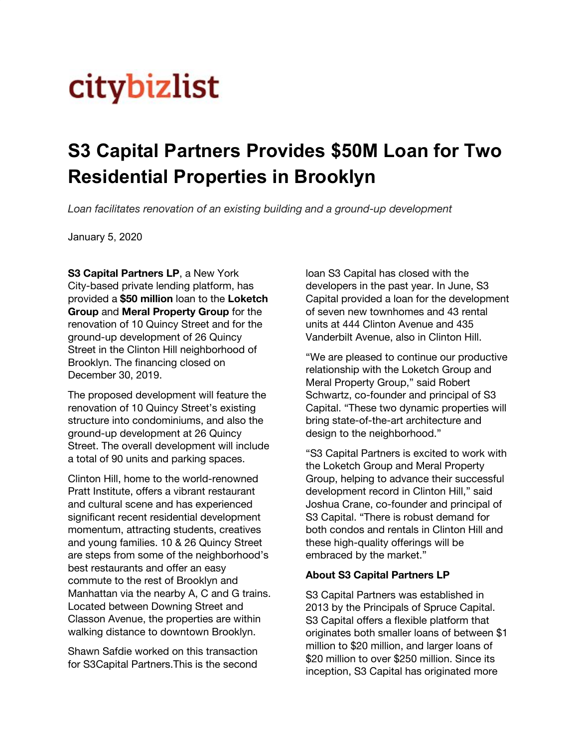## **citybizlist**

## **S3 Capital Partners Provides \$50M Loan for Two Residential Properties in Brooklyn**

*Loan facilitates renovation of an existing building and a ground-up development*

January 5, 2020

**S3 Capital [Partners](http://www.s3-cap.com/) LP**, a New York City-based private lending platform, has provided a **\$50 million** loan to the **Loketch Group** and **Meral Property Group** for the renovation of 10 Quincy Street and for the ground-up development of 26 Quincy Street in the Clinton Hill neighborhood of Brooklyn. The financing closed on December 30, 2019.

The proposed development will feature the renovation of 10 Quincy Street's existing structure into condominiums, and also the ground-up development at 26 Quincy Street. The overall development will include a total of 90 units and parking spaces.

Clinton Hill, home to the world-renowned Pratt Institute, offers a vibrant restaurant and cultural scene and has experienced significant recent residential development momentum, attracting students, creatives and young families. 10 & 26 Quincy Street are steps from some of the neighborhood's best restaurants and offer an easy commute to the rest of Brooklyn and Manhattan via the nearby A, C and G trains. Located between Downing Street and Classon Avenue, the properties are within walking distance to downtown Brooklyn.

Shawn Safdie worked on this transaction for S3Capital Partners.This is the second

loan S3 Capital has closed with the developers in the past year. In June, S3 Capital provided a loan for the development of seven new townhomes and 43 rental units at 444 Clinton Avenue and 435 Vanderbilt Avenue, also in Clinton Hill.

"We are pleased to continue our productive relationship with the Loketch Group and Meral Property Group," said Robert Schwartz, co-founder and principal of S3 Capital. "These two dynamic properties will bring state-of-the-art architecture and design to the neighborhood."

"S3 Capital Partners is excited to work with the Loketch Group and Meral Property Group, helping to advance their successful development record in Clinton Hill," said Joshua Crane, co-founder and principal of S3 Capital. "There is robust demand for both condos and rentals in Clinton Hill and these high-quality offerings will be embraced by the market."

## **About S3 Capital Partners LP**

S3 Capital Partners was established in 2013 by the Principals of Spruce Capital. S3 Capital offers a flexible platform that originates both smaller loans of between \$1 million to \$20 million, and larger loans of \$20 million to over \$250 million. Since its inception, S3 Capital has originated more